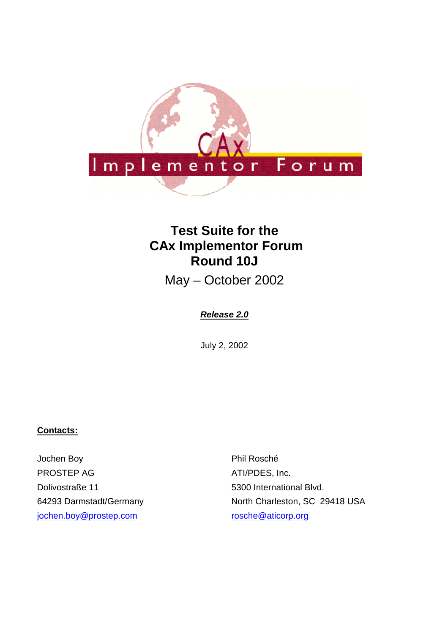

# **Test Suite for the CAx Implementor Forum Round 10J**

May – October 2002

## **Release 2.0**

July 2, 2002

### **Contacts:**

Jochen Boy PROSTEP AG Dolivostraße 11 64293 Darmstadt/Germany jochen.boy@prostep.com

Phil Rosché ATI/PDES, Inc. 5300 International Blvd. North Charleston, SC 29418 USA rosche@aticorp.org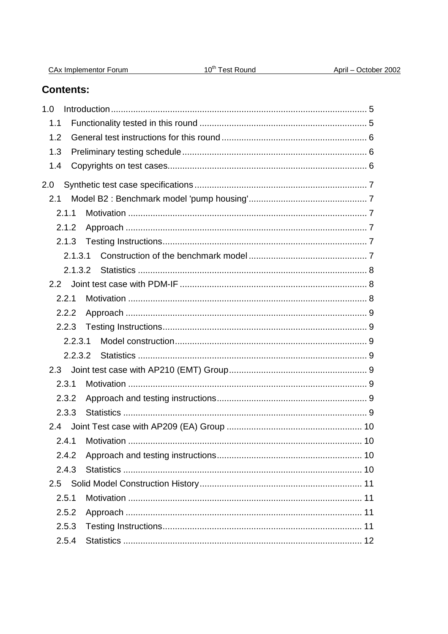| 1.0     |  |
|---------|--|
| 1.1     |  |
| 1.2     |  |
| 1.3     |  |
| 1.4     |  |
| 2.0     |  |
| 2.1     |  |
| 2.1.1   |  |
| 2.1.2   |  |
| 2.1.3   |  |
| 2.1.3.1 |  |
| 2.1.3.2 |  |
| $2.2 -$ |  |
| 2.2.1   |  |
| 2.2.2   |  |
| 2.2.3   |  |
| 2.2.3.1 |  |
| 2.2.3.2 |  |
|         |  |
| 2.3.1   |  |
| 2.3.2   |  |
| 2.3.3   |  |
| 2.4     |  |
| 2.4.1   |  |
| 2.4.2   |  |
| 2.4.3   |  |

## Contents:

 $2.5.1$ 

 $2.5.2$ 

 $2.5.3$ 

 $2.5.4$ 

CAx Implementor Forum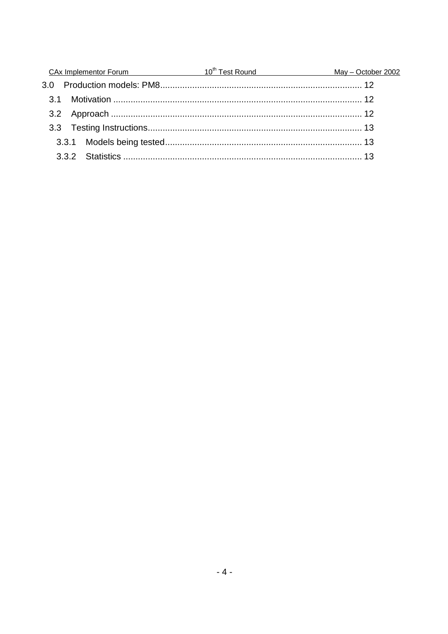|  | May - October 2002                                |
|--|---------------------------------------------------|
|  |                                                   |
|  |                                                   |
|  |                                                   |
|  |                                                   |
|  |                                                   |
|  |                                                   |
|  | CAx Implementor Forum 10 <sup>th</sup> Test Round |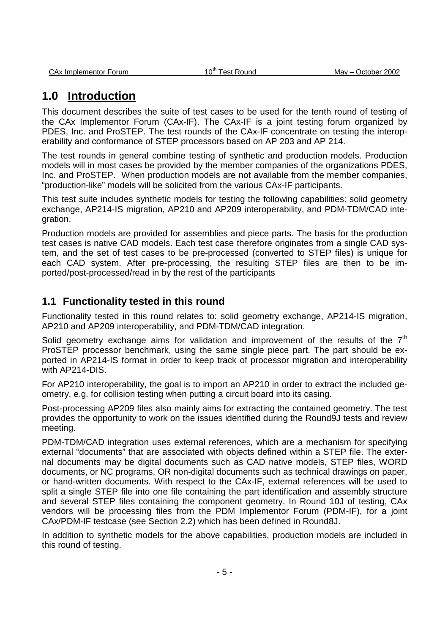# **1.0 Introduction**

This document describes the suite of test cases to be used for the tenth round of testing of the CAx Implementor Forum (CAx-IF). The CAx-IF is a joint testing forum organized by PDES, Inc. and ProSTEP. The test rounds of the CAx-IF concentrate on testing the interoperability and conformance of STEP processors based on AP 203 and AP 214.

The test rounds in general combine testing of synthetic and production models. Production models will in most cases be provided by the member companies of the organizations PDES, Inc. and ProSTEP. When production models are not available from the member companies, "production-like" models will be solicited from the various CAx-IF participants.

This test suite includes synthetic models for testing the following capabilities: solid geometry exchange, AP214-IS migration, AP210 and AP209 interoperability, and PDM-TDM/CAD integration.

Production models are provided for assemblies and piece parts. The basis for the production test cases is native CAD models. Each test case therefore originates from a single CAD system, and the set of test cases to be pre-processed (converted to STEP files) is unique for each CAD system. After pre-processing, the resulting STEP files are then to be imported/post-processed/read in by the rest of the participants

## **1.1 Functionality tested in this round**

Functionality tested in this round relates to: solid geometry exchange, AP214-IS migration, AP210 and AP209 interoperability, and PDM-TDM/CAD integration.

Solid geometry exchange aims for validation and improvement of the results of the  $7<sup>th</sup>$ ProSTEP processor benchmark, using the same single piece part. The part should be exported in AP214-IS format in order to keep track of processor migration and interoperability with AP214-DIS.

For AP210 interoperability, the goal is to import an AP210 in order to extract the included geometry, e.g. for collision testing when putting a circuit board into its casing.

Post-processing AP209 files also mainly aims for extracting the contained geometry. The test provides the opportunity to work on the issues identified during the Round9J tests and review meeting.

PDM-TDM/CAD integration uses external references, which are a mechanism for specifying external "documents" that are associated with objects defined within a STEP file. The external documents may be digital documents such as CAD native models, STEP files, WORD documents, or NC programs, OR non-digital documents such as technical drawings on paper, or hand-written documents. With respect to the CAx-IF, external references will be used to split a single STEP file into one file containing the part identification and assembly structure and several STEP files containing the component geometry. In Round 10J of testing, CAx vendors will be processing files from the PDM Implementor Forum (PDM-IF), for a joint CAx/PDM-IF testcase (see Section 2.2) which has been defined in Round8J.

In addition to synthetic models for the above capabilities, production models are included in this round of testing.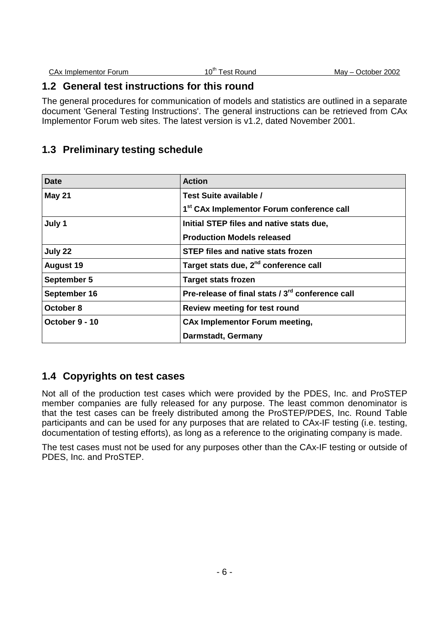| CAx Implementor Forum | $10^{\mathrm{m}}$<br>: Round<br>est | October 2002<br>Mav – |
|-----------------------|-------------------------------------|-----------------------|
|                       |                                     |                       |

## **1.2 General test instructions for this round**

The general procedures for communication of models and statistics are outlined in a separate document 'General Testing Instructions'. The general instructions can be retrieved from CAx Implementor Forum web sites. The latest version is v1.2, dated November 2001.

## **1.3 Preliminary testing schedule**

| <b>Date</b>      | <b>Action</b>                                                |  |
|------------------|--------------------------------------------------------------|--|
| <b>May 21</b>    | Test Suite available /                                       |  |
|                  | 1 <sup>st</sup> CAx Implementor Forum conference call        |  |
| July 1           | Initial STEP files and native stats due,                     |  |
|                  | <b>Production Models released</b>                            |  |
| July 22          | <b>STEP files and native stats frozen</b>                    |  |
| <b>August 19</b> | Target stats due, 2 <sup>nd</sup> conference call            |  |
| September 5      | <b>Target stats frozen</b>                                   |  |
| September 16     | Pre-release of final stats / 3 <sup>rd</sup> conference call |  |
| October 8        | Review meeting for test round                                |  |
| October 9 - 10   | <b>CAx Implementor Forum meeting,</b>                        |  |
|                  | Darmstadt, Germany                                           |  |

## **1.4 Copyrights on test cases**

Not all of the production test cases which were provided by the PDES, Inc. and ProSTEP member companies are fully released for any purpose. The least common denominator is that the test cases can be freely distributed among the ProSTEP/PDES, Inc. Round Table participants and can be used for any purposes that are related to CAx-IF testing (i.e. testing, documentation of testing efforts), as long as a reference to the originating company is made.

The test cases must not be used for any purposes other than the CAx-IF testing or outside of PDES, Inc. and ProSTEP.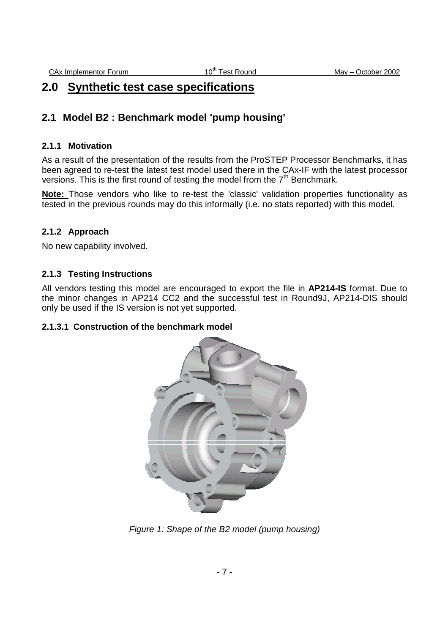# **2.0 Synthetic test case specifications**

## **2.1 Model B2 : Benchmark model 'pump housing'**

### **2.1.1 Motivation**

As a result of the presentation of the results from the ProSTEP Processor Benchmarks, it has been agreed to re-test the latest test model used there in the CAx-IF with the latest processor versions. This is the first round of testing the model from the  $7<sup>th</sup>$  Benchmark.

**Note:** Those vendors who like to re-test the 'classic' validation properties functionality as tested in the previous rounds may do this informally (i.e. no stats reported) with this model.

### **2.1.2 Approach**

No new capability involved.

#### **2.1.3 Testing Instructions**

All vendors testing this model are encouraged to export the file in **AP214-IS** format. Due to the minor changes in AP214 CC2 and the successful test in Round9J, AP214-DIS should only be used if the IS version is not yet supported.

#### **2.1.3.1 Construction of the benchmark model**



Figure 1: Shape of the B2 model (pump housing)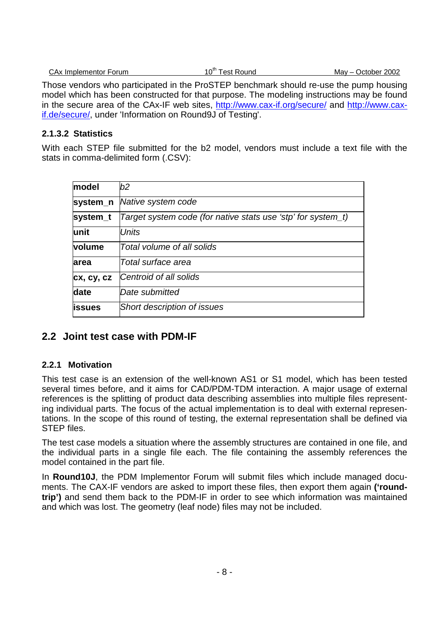| $10^{th}$ $-$<br>October 2002<br>Mav –<br>CAx Implementor Forum<br>l est Round |
|--------------------------------------------------------------------------------|
|--------------------------------------------------------------------------------|

Those vendors who participated in the ProSTEP benchmark should re-use the pump housing model which has been constructed for that purpose. The modeling instructions may be found in the secure area of the CAx-IF web sites, http://www.cax-if.org/secure/ and http://www.caxif.de/secure/, under 'Information on Round9J of Testing'.

### **2.1.3.2 Statistics**

With each STEP file submitted for the b2 model, vendors must include a text file with the stats in comma-delimited form (.CSV):

| model          | b2                                                           |
|----------------|--------------------------------------------------------------|
| system_n       | Native system code                                           |
| system_t       | Target system code (for native stats use 'stp' for system_t) |
| lunit          | <b>Units</b>                                                 |
| volume         | Total volume of all solids                                   |
| larea          | Total surface area                                           |
| cx, cy, cz     | Centroid of all solids                                       |
| date           | Date submitted                                               |
| <b>lissues</b> | Short description of issues                                  |

## **2.2 Joint test case with PDM-IF**

### **2.2.1 Motivation**

This test case is an extension of the well-known AS1 or S1 model, which has been tested several times before, and it aims for CAD/PDM-TDM interaction. A major usage of external references is the splitting of product data describing assemblies into multiple files representing individual parts. The focus of the actual implementation is to deal with external representations. In the scope of this round of testing, the external representation shall be defined via STEP files.

The test case models a situation where the assembly structures are contained in one file, and the individual parts in a single file each. The file containing the assembly references the model contained in the part file.

In **Round10J**, the PDM Implementor Forum will submit files which include managed documents. The CAX-IF vendors are asked to import these files, then export them again **('roundtrip')** and send them back to the PDM-IF in order to see which information was maintained and which was lost. The geometry (leaf node) files may not be included.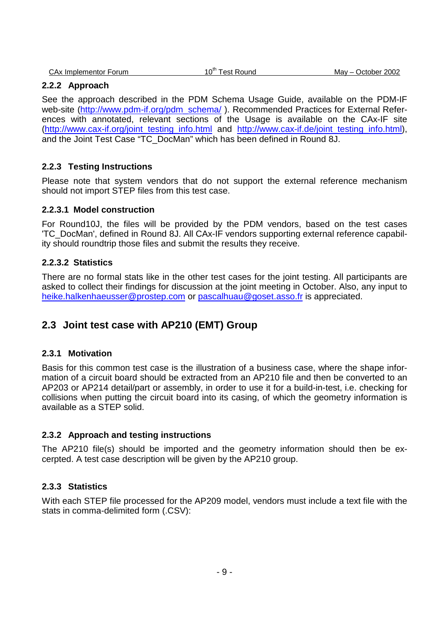#### **2.2.2 Approach**

See the approach described in the PDM Schema Usage Guide, available on the PDM-IF web-site (http://www.pdm-if.org/pdm\_schema/). Recommended Practices for External References with annotated, relevant sections of the Usage is available on the CAx-IF site (http://www.cax-if.org/joint\_testing\_info.html and http://www.cax-if.de/joint\_testing\_info.html), and the Joint Test Case "TC\_DocMan" which has been defined in Round 8J.

### **2.2.3 Testing Instructions**

Please note that system vendors that do not support the external reference mechanism should not import STEP files from this test case.

#### **2.2.3.1 Model construction**

For Round10J, the files will be provided by the PDM vendors, based on the test cases 'TC\_DocMan', defined in Round 8J. All CAx-IF vendors supporting external reference capability should roundtrip those files and submit the results they receive.

#### **2.2.3.2 Statistics**

There are no formal stats like in the other test cases for the joint testing. All participants are asked to collect their findings for discussion at the joint meeting in October. Also, any input to heike.halkenhaeusser@prostep.com or pascalhuau@goset.asso.fr is appreciated.

### **2.3 Joint test case with AP210 (EMT) Group**

#### **2.3.1 Motivation**

Basis for this common test case is the illustration of a business case, where the shape information of a circuit board should be extracted from an AP210 file and then be converted to an AP203 or AP214 detail/part or assembly, in order to use it for a build-in-test, i.e. checking for collisions when putting the circuit board into its casing, of which the geometry information is available as a STEP solid.

#### **2.3.2 Approach and testing instructions**

The AP210 file(s) should be imported and the geometry information should then be excerpted. A test case description will be given by the AP210 group.

#### **2.3.3 Statistics**

With each STEP file processed for the AP209 model, vendors must include a text file with the stats in comma-delimited form (.CSV):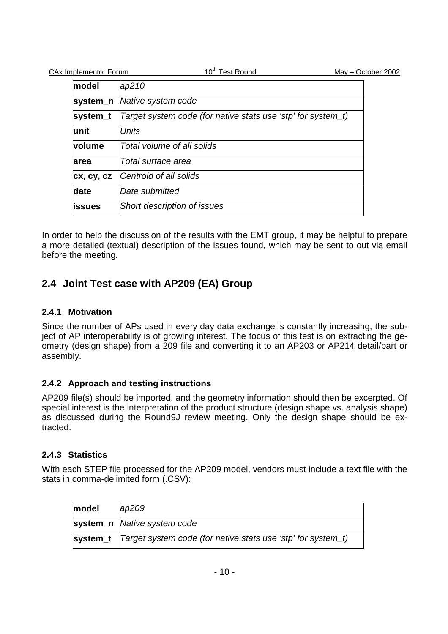| <b>CAx Implementor Forum</b> | 10 <sup>th</sup> Test Round                                  | May - October 2002 |
|------------------------------|--------------------------------------------------------------|--------------------|
| model                        | ap210                                                        |                    |
| system_n                     | Native system code                                           |                    |
| system_t                     | Target system code (for native stats use 'stp' for system_t) |                    |
| unit                         | <b>Units</b>                                                 |                    |
| volume                       | Total volume of all solids                                   |                    |
| area                         | Total surface area                                           |                    |
| cx, cy, cz                   | Centroid of all solids                                       |                    |
| date                         | Date submitted                                               |                    |
| issues                       | Short description of issues                                  |                    |
|                              |                                                              |                    |

In order to help the discussion of the results with the EMT group, it may be helpful to prepare a more detailed (textual) description of the issues found, which may be sent to out via email before the meeting.

## **2.4 Joint Test case with AP209 (EA) Group**

### **2.4.1 Motivation**

Since the number of APs used in every day data exchange is constantly increasing, the subject of AP interoperability is of growing interest. The focus of this test is on extracting the geometry (design shape) from a 209 file and converting it to an AP203 or AP214 detail/part or assembly.

### **2.4.2 Approach and testing instructions**

AP209 file(s) should be imported, and the geometry information should then be excerpted. Of special interest is the interpretation of the product structure (design shape vs. analysis shape) as discussed during the Round9J review meeting. Only the design shape should be extracted.

### **2.4.3 Statistics**

With each STEP file processed for the AP209 model, vendors must include a text file with the stats in comma-delimited form (.CSV):

| model | ap209                                                                   |
|-------|-------------------------------------------------------------------------|
|       | system_n  Native system code                                            |
|       | system_t   Target system code (for native stats use 'stp' for system_t) |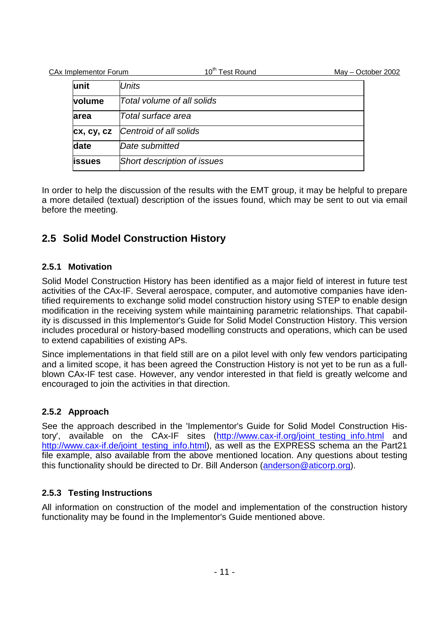| CAx Implementor Forum | 10 <sup>th</sup> Test Round | May - October 2002 |
|-----------------------|-----------------------------|--------------------|
| lunit                 | <b>Units</b>                |                    |
| <b>volume</b>         | Total volume of all solids  |                    |
| area                  | Total surface area          |                    |
| cx, cy, cz            | Centroid of all solids      |                    |
| date                  | Date submitted              |                    |
| <b>lissues</b>        | Short description of issues |                    |

In order to help the discussion of the results with the EMT group, it may be helpful to prepare a more detailed (textual) description of the issues found, which may be sent to out via email before the meeting.

## **2.5 Solid Model Construction History**

### **2.5.1 Motivation**

Solid Model Construction History has been identified as a major field of interest in future test activities of the CAx-IF. Several aerospace, computer, and automotive companies have identified requirements to exchange solid model construction history using STEP to enable design modification in the receiving system while maintaining parametric relationships. That capability is discussed in this Implementor's Guide for Solid Model Construction History. This version includes procedural or history-based modelling constructs and operations, which can be used to extend capabilities of existing APs.

Since implementations in that field still are on a pilot level with only few vendors participating and a limited scope, it has been agreed the Construction History is not yet to be run as a fullblown CAx-IF test case. However, any vendor interested in that field is greatly welcome and encouraged to join the activities in that direction.

## **2.5.2 Approach**

See the approach described in the 'Implementor's Guide for Solid Model Construction History', available on the CAx-IF sites (http://www.cax-if.org/joint testing info.html and http://www.cax-if.de/joint testing info.html), as well as the EXPRESS schema an the Part21 file example, also available from the above mentioned location. Any questions about testing this functionality should be directed to Dr. Bill Anderson (anderson@aticorp.org).

## **2.5.3 Testing Instructions**

All information on construction of the model and implementation of the construction history functionality may be found in the Implementor's Guide mentioned above.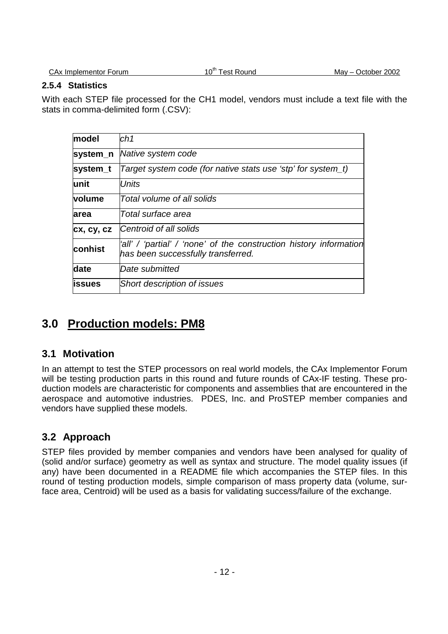#### **2.5.4 Statistics**

With each STEP file processed for the CH1 model, vendors must include a text file with the stats in comma-delimited form (.CSV):

| model      | ch1                                                                                                      |
|------------|----------------------------------------------------------------------------------------------------------|
| system n   | Native system code                                                                                       |
| system_t   | Target system code (for native stats use 'stp' for system_t)                                             |
| lunit      | Units                                                                                                    |
| volume     | Total volume of all solids                                                                               |
| area       | Total surface area                                                                                       |
| cx, cy, cz | Centroid of all solids                                                                                   |
| conhist    | 'all' / 'partial' / 'none' of the construction history information<br>has been successfully transferred. |
| date       | Date submitted                                                                                           |
| issues     | Short description of issues                                                                              |

# **3.0 Production models: PM8**

## **3.1 Motivation**

In an attempt to test the STEP processors on real world models, the CAx Implementor Forum will be testing production parts in this round and future rounds of CAx-IF testing. These production models are characteristic for components and assemblies that are encountered in the aerospace and automotive industries. PDES, Inc. and ProSTEP member companies and vendors have supplied these models.

## **3.2 Approach**

STEP files provided by member companies and vendors have been analysed for quality of (solid and/or surface) geometry as well as syntax and structure. The model quality issues (if any) have been documented in a README file which accompanies the STEP files. In this round of testing production models, simple comparison of mass property data (volume, surface area, Centroid) will be used as a basis for validating success/failure of the exchange.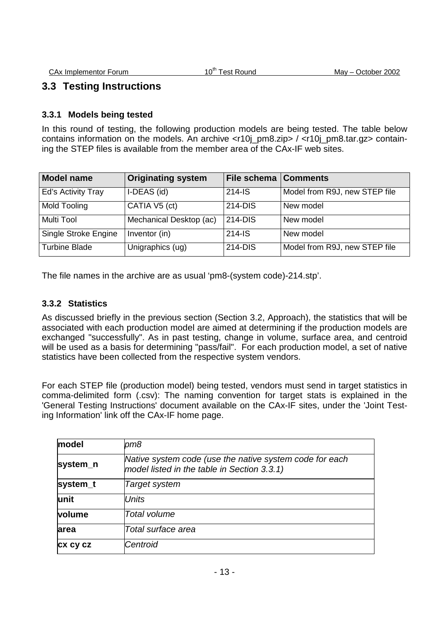## **3.3 Testing Instructions**

### **3.3.1 Models being tested**

In this round of testing, the following production models are being tested. The table below contains information on the models. An archive  $\langle$ r10i pm8.zip> /  $\langle$ r10i pm8.tar.gz> containing the STEP files is available from the member area of the CAx-IF web sites.

| <b>Model name</b>    | <b>Originating system</b> | <b>File schema   Comments</b> |                               |
|----------------------|---------------------------|-------------------------------|-------------------------------|
| Ed's Activity Tray   | I-DEAS (id)               | $214 - IS$                    | Model from R9J, new STEP file |
| Mold Tooling         | CATIA V5 (ct)             | 214-DIS                       | New model                     |
| Multi Tool           | Mechanical Desktop (ac)   | 214-DIS                       | New model                     |
| Single Stroke Engine | Inventor (in)             | $214 - IS$                    | New model                     |
| <b>Turbine Blade</b> | Unigraphics (ug)          | 214-DIS                       | Model from R9J, new STEP file |

The file names in the archive are as usual 'pm8-(system code)-214.stp'.

#### **3.3.2 Statistics**

As discussed briefly in the previous section (Section 3.2, Approach), the statistics that will be associated with each production model are aimed at determining if the production models are exchanged "successfully". As in past testing, change in volume, surface area, and centroid will be used as a basis for determining "pass/fail". For each production model, a set of native statistics have been collected from the respective system vendors.

For each STEP file (production model) being tested, vendors must send in target statistics in comma-delimited form (.csv): The naming convention for target stats is explained in the 'General Testing Instructions' document available on the CAx-IF sites, under the 'Joint Testing Information' link off the CAx-IF home page.

| model    | pm8                                                                                                    |
|----------|--------------------------------------------------------------------------------------------------------|
| system_n | Native system code (use the native system code for each<br>model listed in the table in Section 3.3.1) |
| system_t | Target system                                                                                          |
| lunit    | <b>Units</b>                                                                                           |
| volume   | Total volume                                                                                           |
| larea    | Total surface area                                                                                     |
| cx cy cz | Centroid                                                                                               |